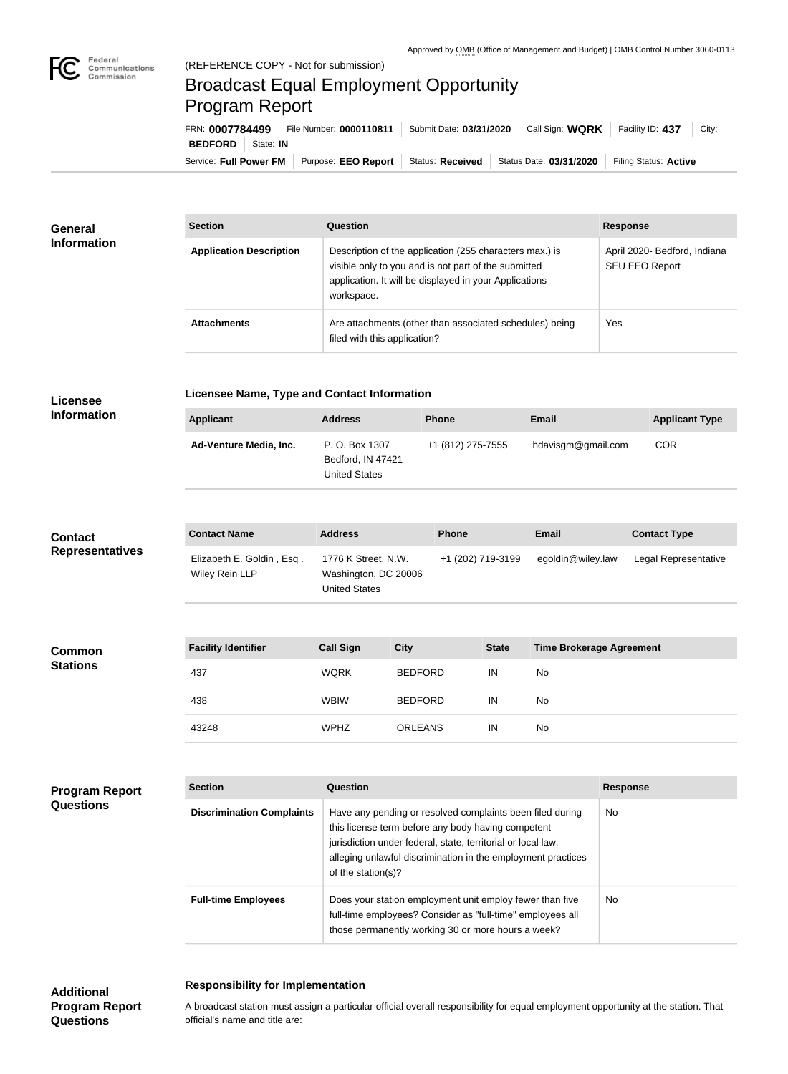

## Broadcast Equal Employment Opportunity Program Report

| FRN: 0007784499                    | File Number: 0000110811 | Submit Date: 03/31/2020 | Call Sign: WQRK         | Facility ID: 437<br>City: |
|------------------------------------|-------------------------|-------------------------|-------------------------|---------------------------|
| <b>BEDFORD</b><br>State: <b>IN</b> |                         |                         |                         |                           |
| Service: Full Power FM             | Purpose: EEO Report     | Status: Received        | Status Date: 03/31/2020 | Filing Status: Active     |

| General<br><b>Information</b> | <b>Section</b>                 | <b>Question</b>                                                                                                                                                                         | <b>Response</b>                                |
|-------------------------------|--------------------------------|-----------------------------------------------------------------------------------------------------------------------------------------------------------------------------------------|------------------------------------------------|
|                               | <b>Application Description</b> | Description of the application (255 characters max.) is<br>visible only to you and is not part of the submitted<br>application. It will be displayed in your Applications<br>workspace. | April 2020- Bedford, Indiana<br>SEU EEO Report |
|                               | <b>Attachments</b>             | Are attachments (other than associated schedules) being<br>filed with this application?                                                                                                 | Yes                                            |

## **Licensee**

**Licensee Name, Type and Contact Information**

| <b>Applicant</b>              | <b>Address</b>                                              | <b>Phone</b>      | <b>Email</b>       | <b>Applicant Type</b> |
|-------------------------------|-------------------------------------------------------------|-------------------|--------------------|-----------------------|
| <b>Ad-Venture Media, Inc.</b> | P. O. Box 1307<br>Bedford, IN 47421<br><b>United States</b> | +1 (812) 275-7555 | hdavisgm@gmail.com | <b>COR</b>            |
|                               |                                                             |                   |                    |                       |

| <b>Contact</b>         | <b>Contact Name</b>                         | <b>Address</b>                                                      | <b>Phone</b>      | Email             | <b>Contact Type</b>  |
|------------------------|---------------------------------------------|---------------------------------------------------------------------|-------------------|-------------------|----------------------|
| <b>Representatives</b> | Elizabeth E. Goldin, Esq.<br>Wiley Rein LLP | 1776 K Street, N.W.<br>Washington, DC 20006<br><b>United States</b> | +1 (202) 719-3199 | egoldin@wiley.law | Legal Representative |

| <b>Common</b><br><b>Stations</b> | <b>Facility Identifier</b> | <b>Call Sign</b> | <b>City</b>    | <b>State</b> | <b>Time Brokerage Agreement</b> |
|----------------------------------|----------------------------|------------------|----------------|--------------|---------------------------------|
|                                  | 437                        | <b>WQRK</b>      | <b>BEDFORD</b> | IN           | <b>No</b>                       |
|                                  | 438                        | <b>WBIW</b>      | <b>BEDFORD</b> | IN           | <b>No</b>                       |
|                                  | 43248                      | <b>WPHZ</b>      | <b>ORLEANS</b> | IN           | No                              |

| <b>Program Report</b><br><b>Questions</b> | <b>Section</b>                   | Question                                                                                                                                                                                                                                                              | <b>Response</b> |
|-------------------------------------------|----------------------------------|-----------------------------------------------------------------------------------------------------------------------------------------------------------------------------------------------------------------------------------------------------------------------|-----------------|
|                                           | <b>Discrimination Complaints</b> | Have any pending or resolved complaints been filed during<br>this license term before any body having competent<br>jurisdiction under federal, state, territorial or local law,<br>alleging unlawful discrimination in the employment practices<br>of the station(s)? | <b>No</b>       |
|                                           | <b>Full-time Employees</b>       | Does your station employment unit employ fewer than five<br>full-time employees? Consider as "full-time" employees all<br>those permanently working 30 or more hours a week?                                                                                          | No              |

## **Responsibility for Implementation**

**Additional Program Report Questions**

A broadcast station must assign a particular official overall responsibility for equal employment opportunity at the station. That official's name and title are: